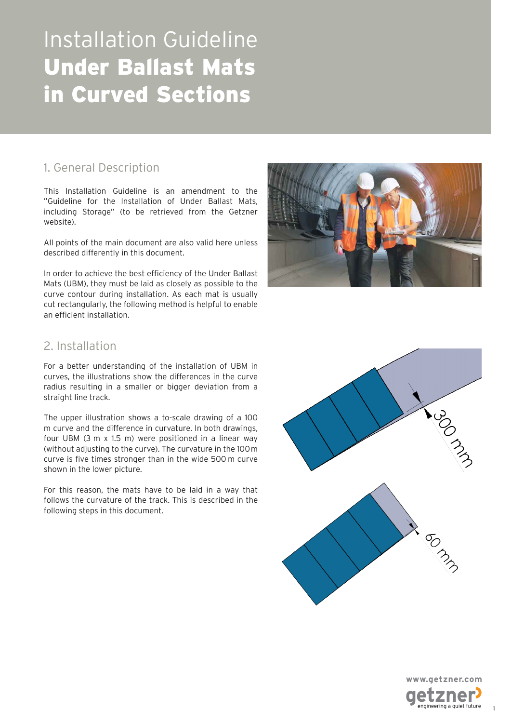### 1. General Description

This Installation Guideline is an amendment to the "Guideline for the Installation of Under Ballast Mats, including Storage" (to be retrieved from the Getzner website).

All points of the main document are also valid here unless described differently in this document.

In order to achieve the best efficiency of the Under Ballast Mats (UBM), they must be laid as closely as possible to the curve contour during installation. As each mat is usually cut rectangularly, the following method is helpful to enable an efficient installation.



### 2. Installation

For a better understanding of the installation of UBM in curves, the illustrations show the differences in the curve radius resulting in a smaller or bigger deviation from a straight line track.

The upper illustration shows a to-scale drawing of a 100 m curve and the difference in curvature. In both drawings, four UBM (3 m x 1.5 m) were positioned in a linear way (without adjusting to the curve). The curvature in the 100 m curve is five times stronger than in the wide 500 m curve shown in the lower picture.

For this reason, the mats have to be laid in a way that follows the curvature of the track. This is described in the following steps in this document.





1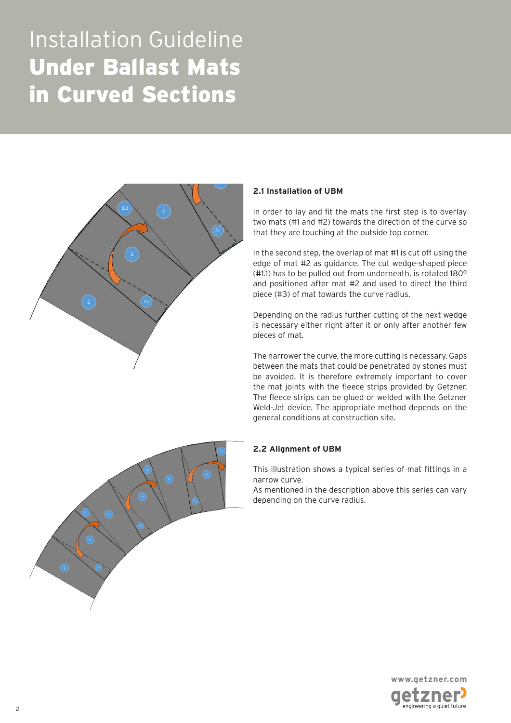

#### **2.1 Installation of UBM**

In order to lay and fit the mats the first step is to overlay two mats (#1 and #2) towards the direction of the curve so that they are touching at the outside top corner.

In the second step, the overlap of mat #1 is cut off using the edge of mat #2 as guidance. The cut wedge-shaped piece (#1.1) has to be pulled out from underneath, is rotated 180° and positioned after mat #2 and used to direct the third piece (#3) of mat towards the curve radius.

Depending on the radius further cutting of the next wedge is necessary either right after it or only after another few pieces of mat.

The narrower the curve, the more cutting is necessary. Gaps between the mats that could be penetrated by stones must be avoided. It is therefore extremely important to cover the mat joints with the fleece strips provided by Getzner. The fleece strips can be glued or welded with the Getzner Weld-Jet device. The appropriate method depends on the general conditions at construction site.



#### **2.2 Alignment of UBM**

This illustration shows a typical series of mat fittings in a narrow curve.

As mentioned in the description above this series can vary depending on the curve radius.

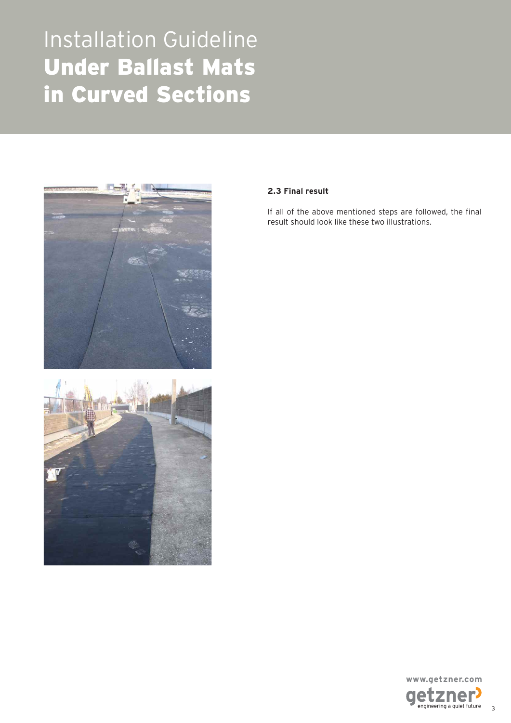



#### **2.3 Final result**

If all of the above mentioned steps are followed, the final result should look like these two illustrations.



3